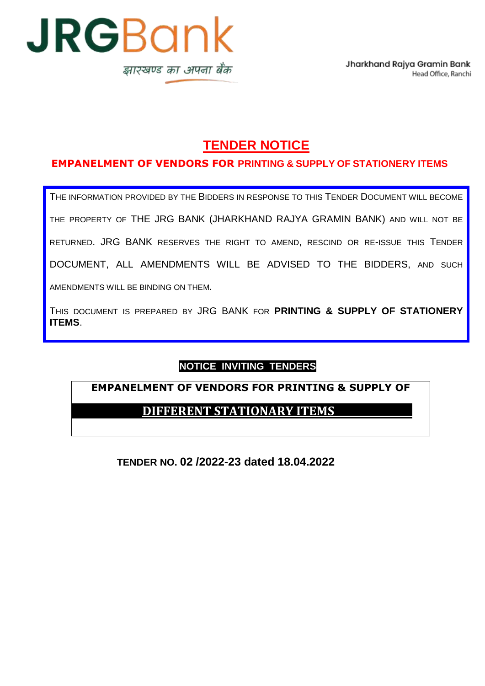

# **TENDER NOTICE**

## **EMPANELMENT OF VENDORS FOR PRINTING & SUPPLY OF STATIONERY ITEMS**

THE INFORMATION PROVIDED BY THE BIDDERS IN RESPONSE TO THIS TENDER DOCUMENT WILL BECOME THE PROPERTY OF THE JRG BANK (JHARKHAND RAJYA GRAMIN BANK) AND WILL NOT BE RETURNED. JRG BANK RESERVES THE RIGHT TO AMEND, RESCIND OR RE-ISSUE THIS TENDER DOCUMENT, ALL AMENDMENTS WILL BE ADVISED TO THE BIDDERS, AND SUCH AMENDMENTS WILL BE BINDING ON THEM.

THIS DOCUMENT IS PREPARED BY JRG BANK FOR **PRINTING & SUPPLY OF STATIONERY ITEMS**.

## **NOTICE INVITING TENDERS**

## **EMPANELMENT OF VENDORS FOR PRINTING & SUPPLY OF**

## **DIFFERENT STATIONARY ITEMS**

**TENDER NO. 02 /2022-23 dated 18.04.2022**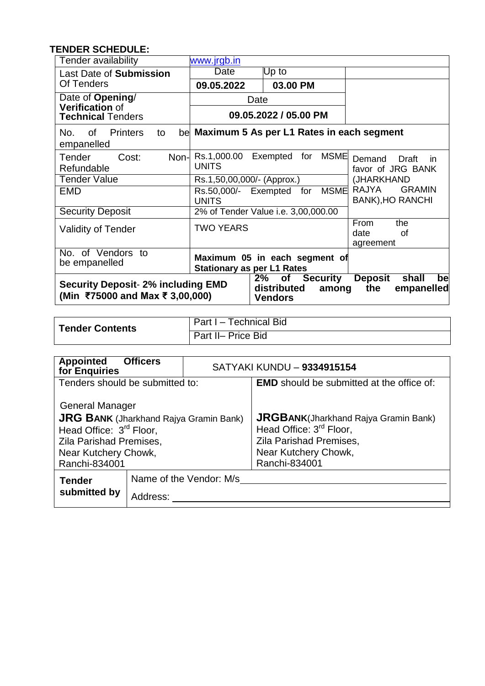## **TENDER SCHEDULE:**

| Tender availability                                                                                                                                                                                                 | www.jrgb.in                          |                                              |                                                          |
|---------------------------------------------------------------------------------------------------------------------------------------------------------------------------------------------------------------------|--------------------------------------|----------------------------------------------|----------------------------------------------------------|
| Last Date of Submission                                                                                                                                                                                             | Date                                 | Up to                                        |                                                          |
| Of Tenders                                                                                                                                                                                                          | 09.05.2022                           | 03.00 PM                                     |                                                          |
| Date of Opening/                                                                                                                                                                                                    |                                      | Date                                         |                                                          |
| <b>Verification of</b><br><b>Technical Tenders</b>                                                                                                                                                                  |                                      | 09.05.2022 / 05.00 PM                        |                                                          |
| <b>Printers</b><br>No.<br>0f<br>to<br>empanelled                                                                                                                                                                    |                                      | be Maximum 5 As per L1 Rates in each segment |                                                          |
| Tender<br>Non-<br>Cost:<br>Refundable                                                                                                                                                                               | Rs.1,000.00 Exempted<br><b>UNITS</b> | <b>MSME</b><br>for                           | Demand<br>Draft<br>in.<br>favor of JRG BANK              |
| <b>Tender Value</b>                                                                                                                                                                                                 | Rs.1,50,00,000/- (Approx.)           |                                              | (JHARKHAND                                               |
| <b>EMD</b>                                                                                                                                                                                                          | Rs.50,000/- Exempted<br><b>UNITS</b> | <b>MSME</b><br>for                           | <b>RAJYA</b><br><b>GRAMIN</b><br><b>BANK), HO RANCHI</b> |
| <b>Security Deposit</b>                                                                                                                                                                                             |                                      | 2% of Tender Value i.e. 3,00,000.00          |                                                          |
| <b>Validity of Tender</b>                                                                                                                                                                                           | <b>TWO YEARS</b>                     |                                              | From<br>the<br>date<br>Ωf<br>agreement                   |
| No. of Vendors to<br>Maximum 05 in each segment of<br>be empanelled<br><b>Stationary as per L1 Rates</b>                                                                                                            |                                      |                                              |                                                          |
| <b>Security</b><br><b>Deposit</b><br>2%<br>shall<br>bel<br><b>of</b><br><b>Security Deposit- 2% including EMD</b><br>distributed<br>the<br>empanelled<br>among<br>(Min ₹75000 and Max ₹ 3,00,000)<br><b>Vendors</b> |                                      |                                              |                                                          |

| <b>Tender Contents</b> | Part I - Technical Bid |
|------------------------|------------------------|
|                        | Part II- Price Bid     |

| <b>Appointed</b><br>for Enquiries                                                                              | <b>Officers</b>                     | SATYAKI KUNDU - 9334915154 |                                                                                     |
|----------------------------------------------------------------------------------------------------------------|-------------------------------------|----------------------------|-------------------------------------------------------------------------------------|
| Tenders should be submitted to:                                                                                |                                     |                            | <b>EMD</b> should be submitted at the office of:                                    |
| <b>General Manager</b><br><b>JRG BANK</b> (Jharkhand Rajya Gramin Bank)<br>Head Office: 3 <sup>rd</sup> Floor, |                                     |                            | <b>JRGBANK</b> (Jharkhand Rajya Gramin Bank)<br>Head Office: 3 <sup>rd</sup> Floor, |
| Zila Parishad Premises,<br>Near Kutchery Chowk,<br>Ranchi-834001                                               |                                     |                            | Zila Parishad Premises,<br>Near Kutchery Chowk,<br>Ranchi-834001                    |
| <b>Tender</b><br>submitted by                                                                                  | Name of the Vendor: M/s<br>Address: |                            |                                                                                     |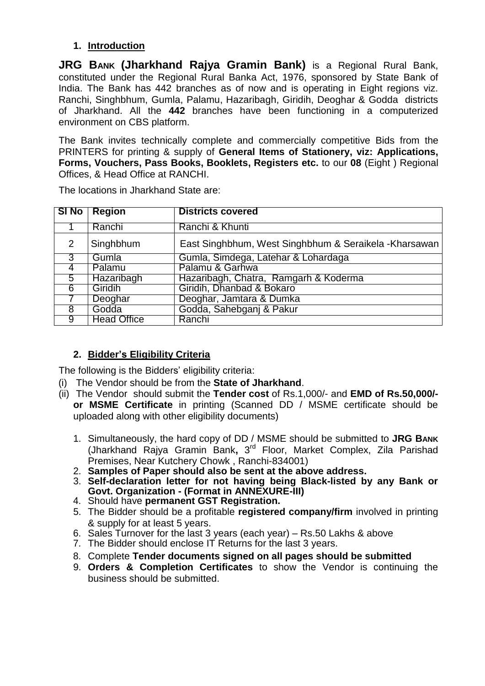## **1. Introduction**

**JRG BANK (Jharkhand Rajya Gramin Bank)** is a Regional Rural Bank, constituted under the Regional Rural Banka Act, 1976, sponsored by State Bank of India. The Bank has 442 branches as of now and is operating in Eight regions viz. Ranchi, Singhbhum, Gumla, Palamu, Hazaribagh, Giridih, Deoghar & Godda districts of Jharkhand. All the **442** branches have been functioning in a computerized environment on CBS platform.

The Bank invites technically complete and commercially competitive Bids from the PRINTERS for printing & supply of **General Items of Stationery, viz: Applications, Forms, Vouchers, Pass Books, Booklets, Registers etc.** to our **08** (Eight ) Regional Offices, & Head Office at RANCHI.

|                | SI No   Region     | <b>Districts covered</b>                               |
|----------------|--------------------|--------------------------------------------------------|
|                | Ranchi             | Ranchi & Khunti                                        |
| 2              | Singhbhum          | East Singhbhum, West Singhbhum & Seraikela - Kharsawan |
| $\overline{3}$ | Gumla              | Gumla, Simdega, Latehar & Lohardaga                    |
| 4              | Palamu             | Palamu & Garhwa                                        |
| 5              | Hazaribagh         | Hazaribagh, Chatra, Ramgarh & Koderma                  |
| 6              | Giridih            | Giridih, Dhanbad & Bokaro                              |
|                | Deoghar            | Deoghar, Jamtara & Dumka                               |
| 8              | Godda              | Godda, Sahebganj & Pakur                               |
| 9              | <b>Head Office</b> | Ranchi                                                 |

The locations in Jharkhand State are:

## **2. Bidder's Eligibility Criteria**

The following is the Bidders' eligibility criteria:

- (i) The Vendor should be from the **State of Jharkhand**.
- (ii) The Vendor should submit the **Tender cost** of Rs.1,000/- and **EMD of Rs.50,000/ or MSME Certificate** in printing (Scanned DD / MSME certificate should be uploaded along with other eligibility documents)
	- 1. Simultaneously, the hard copy of DD / MSME should be submitted to **JRG BANK** (Jharkhand Rajya Gramin Bank**,** 3 rd Floor, Market Complex, Zila Parishad Premises, Near Kutchery Chowk , Ranchi-834001)
	- 2. **Samples of Paper should also be sent at the above address.**
	- 3. **Self-declaration letter for not having being Black-listed by any Bank or Govt. Organization - (Format in ANNEXURE-III)**
	- 4. Should have **permanent GST Registration.**
	- 5. The Bidder should be a profitable **registered company/firm** involved in printing & supply for at least 5 years.
	- 6. Sales Turnover for the last 3 years (each year) Rs.50 Lakhs & above
	- 7. The Bidder should enclose IT Returns for the last 3 years.
	- 8. Complete **Tender documents signed on all pages should be submitted**
	- 9. **Orders & Completion Certificates** to show the Vendor is continuing the business should be submitted.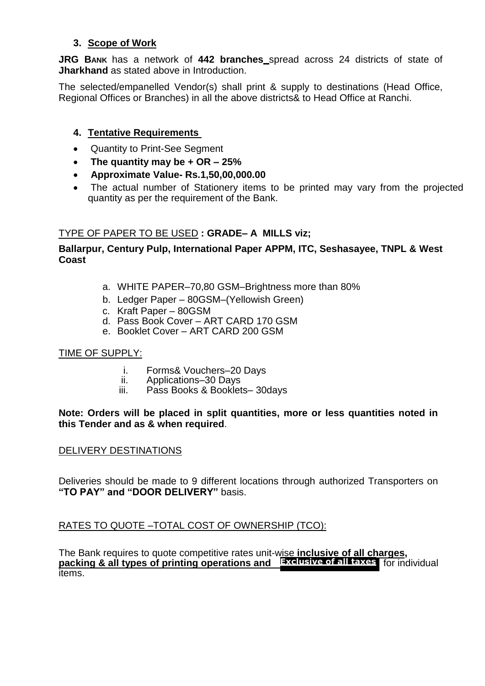## **3. Scope of Work**

**JRG BANK** has a network of **442 branches** spread across 24 districts of state of **Jharkhand** as stated above in Introduction.

The selected/empanelled Vendor(s) shall print & supply to destinations (Head Office, Regional Offices or Branches) in all the above districts& to Head Office at Ranchi.

## **4. Tentative Requirements**

- Quantity to Print-See Segment
- **The quantity may be + OR – 25%**
- **Approximate Value- Rs.1,50,00,000.00**
- The actual number of Stationery items to be printed may vary from the projected quantity as per the requirement of the Bank.

## TYPE OF PAPER TO BE USED **: GRADE– A MILLS viz;**

### **Ballarpur, Century Pulp, International Paper APPM, ITC, Seshasayee, TNPL & West Coast**

- a. WHITE PAPER–70,80 GSM–Brightness more than 80%
- b. Ledger Paper 80GSM–(Yellowish Green)
- c. Kraft Paper 80GSM
- d. Pass Book Cover ART CARD 170 GSM
- e. Booklet Cover ART CARD 200 GSM

#### TIME OF SUPPLY:

- i. Forms& Vouchers–20 Days<br>ii. Applications–30 Days
- ii. Applications–30 Days<br>iii. Pass Books & Booklet
- Pass Books & Booklets– 30days

#### **Note: Orders will be placed in split quantities, more or less quantities noted in this Tender and as & when required**.

#### DELIVERY DESTINATIONS

Deliveries should be made to 9 different locations through authorized Transporters on **"TO PAY" and "DOOR DELIVERY"** basis.

#### RATES TO QUOTE –TOTAL COST OF OWNERSHIP (TCO):

The Bank requires to quote competitive rates unit-wise **inclusive of all charges, packing & all types of printing operations and Exclusive of all taxes** for individualitems.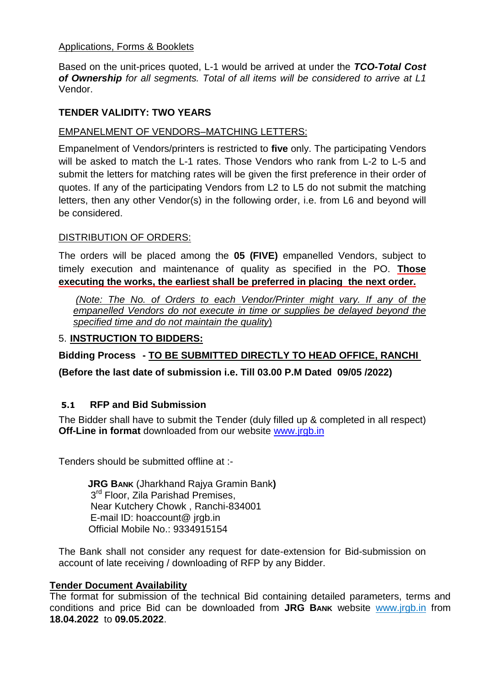#### Applications, Forms & Booklets

Based on the unit-prices quoted, L-1 would be arrived at under the *TCO-Total Cost of Ownership for all segments. Total of all items will be considered to arrive at L1*  Vendor.

#### **TENDER VALIDITY: TWO YEARS**

#### EMPANELMENT OF VENDORS–MATCHING LETTERS:

Empanelment of Vendors/printers is restricted to **five** only. The participating Vendors will be asked to match the L-1 rates. Those Vendors who rank from L-2 to L-5 and submit the letters for matching rates will be given the first preference in their order of quotes. If any of the participating Vendors from L2 to L5 do not submit the matching letters, then any other Vendor(s) in the following order, i.e. from L6 and beyond will be considered.

#### DISTRIBUTION OF ORDERS:

The orders will be placed among the **05 (FIVE)** empanelled Vendors, subject to timely execution and maintenance of quality as specified in the PO. **Those executing the works, the earliest shall be preferred in placing the next order.**

*(Note: The No. of Orders to each Vendor/Printer might vary. If any of the empanelled Vendors do not execute in time or supplies be delayed beyond the specified time and do not maintain the quality*)

#### 5. **INSTRUCTION TO BIDDERS:**

**Bidding Process - TO BE SUBMITTED DIRECTLY TO HEAD OFFICE, RANCHI**

**(Before the last date of submission i.e. Till 03.00 P.M Dated 09/05 /2022)**

## **5.1 RFP and Bid Submission**

The Bidder shall have to submit the Tender (duly filled up & completed in all respect) **Off-Line in format** downloaded from our website [www.jrgb.in](http://www.jrgb.in/)

Tenders should be submitted offline at :-

**JRG BANK** (Jharkhand Rajya Gramin Bank**)** 3<sup>rd</sup> Floor, Zila Parishad Premises, Near Kutchery Chowk , Ranchi-834001 E-mail ID: hoaccount@ jrgb.in Official Mobile No.: 9334915154

The Bank shall not consider any request for date-extension for Bid-submission on account of late receiving / downloading of RFP by any Bidder.

#### **Tender Document Availability**

The format for submission of the technical Bid containing detailed parameters, terms and conditions and price Bid can be downloaded from **JRG BANK** website www.jrgb.in from **18.04.2022** to **09.05.2022**.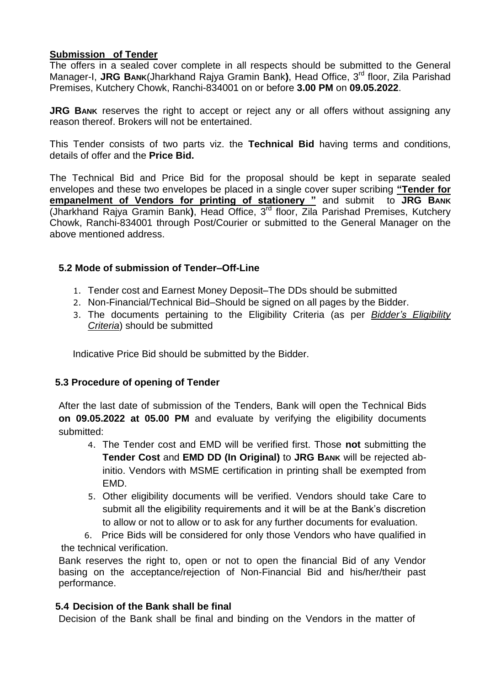#### **Submission of Tender**

The offers in a sealed cover complete in all respects should be submitted to the General Manager-I, **JRG BANK**(Jharkhand Rajya Gramin Bank**)**, Head Office, 3rd floor, Zila Parishad Premises, Kutchery Chowk, Ranchi-834001 on or before **3.00 PM** on **09.05.2022**.

**JRG BANK** reserves the right to accept or reject any or all offers without assigning any reason thereof. Brokers will not be entertained.

This Tender consists of two parts viz. the **Technical Bid** having terms and conditions, details of offer and the **Price Bid.**

The Technical Bid and Price Bid for the proposal should be kept in separate sealed envelopes and these two envelopes be placed in a single cover super scribing **"Tender for empanelment of Vendors for printing of stationery "** and submit to **JRG BANK** (Jharkhand Rajya Gramin Bank**)**, Head Office, 3rd floor, Zila Parishad Premises, Kutchery Chowk, Ranchi-834001 through Post/Courier or submitted to the General Manager on the above mentioned address.

#### **5.2 Mode of submission of Tender–Off-Line**

- 1. Tender cost and Earnest Money Deposit–The DDs should be submitted
- 2. Non-Financial/Technical Bid–Should be signed on all pages by the Bidder.
- 3. The documents pertaining to the Eligibility Criteria (as per *Bidder's Eligibility Criteria*) should be submitted

Indicative Price Bid should be submitted by the Bidder.

#### **5.3 Procedure of opening of Tender**

After the last date of submission of the Tenders, Bank will open the Technical Bids **on 09.05.2022 at 05.00 PM** and evaluate by verifying the eligibility documents submitted:

- 4. The Tender cost and EMD will be verified first. Those **not** submitting the **Tender Cost** and **EMD DD (In Original)** to **JRG BANK** will be rejected abinitio. Vendors with MSME certification in printing shall be exempted from EMD.
- 5. Other eligibility documents will be verified. Vendors should take Care to submit all the eligibility requirements and it will be at the Bank's discretion to allow or not to allow or to ask for any further documents for evaluation.

6. Price Bids will be considered for only those Vendors who have qualified in the technical verification.

Bank reserves the right to, open or not to open the financial Bid of any Vendor basing on the acceptance/rejection of Non-Financial Bid and his/her/their past performance.

## **5.4 Decision of the Bank shall be final**

Decision of the Bank shall be final and binding on the Vendors in the matter of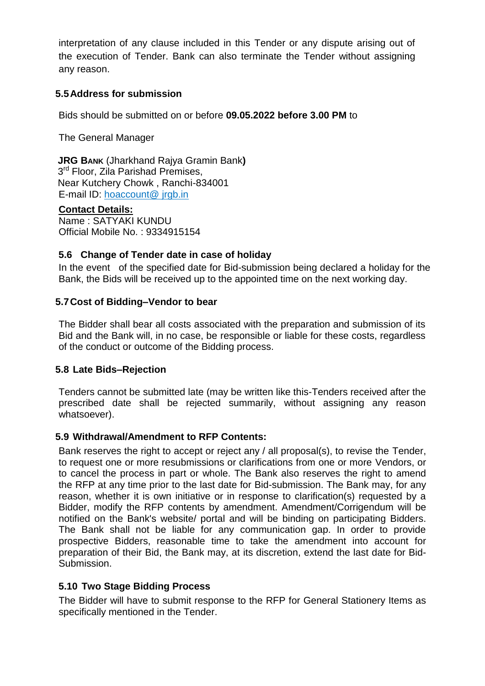interpretation of any clause included in this Tender or any dispute arising out of the execution of Tender. Bank can also terminate the Tender without assigning any reason.

## **5.5Address for submission**

Bids should be submitted on or before **09.05.2022 before 3.00 PM** to

The General Manager

 **JRG BANK** (Jharkhand Rajya Gramin Bank**)** 3<sup>rd</sup> Floor, Zila Parishad Premises, Near Kutchery Chowk , Ranchi-834001 E-mail ID: hoaccount@ jrgb.in

#### **Contact Details:**

Name : SATYAKI KUNDU Official Mobile No. : 9334915154

#### **5.6 Change of Tender date in case of holiday**

In the event of the specified date for Bid-submission being declared a holiday for the Bank, the Bids will be received up to the appointed time on the next working day.

#### **5.7Cost of Bidding–Vendor to bear**

The Bidder shall bear all costs associated with the preparation and submission of its Bid and the Bank will, in no case, be responsible or liable for these costs, regardless of the conduct or outcome of the Bidding process.

#### **5.8 Late Bids–Rejection**

Tenders cannot be submitted late (may be written like this-Tenders received after the prescribed date shall be rejected summarily, without assigning any reason whatsoever).

#### **5.9 Withdrawal/Amendment to RFP Contents:**

Bank reserves the right to accept or reject any / all proposal(s), to revise the Tender, to request one or more resubmissions or clarifications from one or more Vendors, or to cancel the process in part or whole. The Bank also reserves the right to amend the RFP at any time prior to the last date for Bid-submission. The Bank may, for any reason, whether it is own initiative or in response to clarification(s) requested by a Bidder, modify the RFP contents by amendment. Amendment/Corrigendum will be notified on the Bank's website/ portal and will be binding on participating Bidders. The Bank shall not be liable for any communication gap. In order to provide prospective Bidders, reasonable time to take the amendment into account for preparation of their Bid, the Bank may, at its discretion, extend the last date for Bid-Submission.

#### **5.10 Two Stage Bidding Process**

The Bidder will have to submit response to the RFP for General Stationery Items as specifically mentioned in the Tender.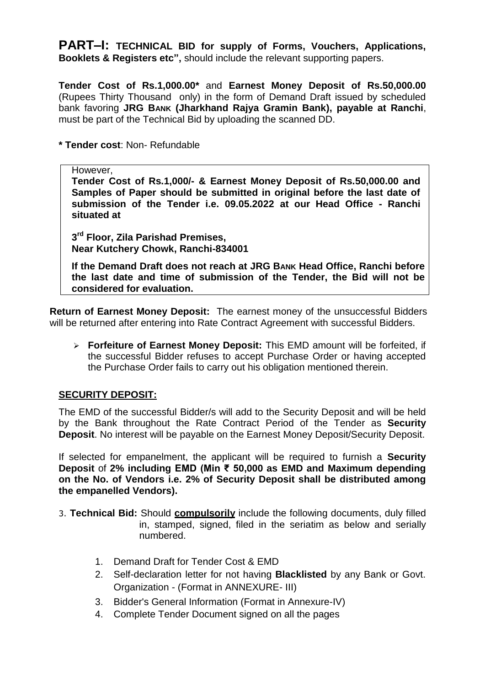**PART–I: TECHNICAL BID for supply of Forms, Vouchers, Applications, Booklets & Registers etc",** should include the relevant supporting papers.

**Tender Cost of Rs.1,000.00\*** and **Earnest Money Deposit of Rs.50,000.00**  (Rupees Thirty Thousand only) in the form of Demand Draft issued by scheduled bank favoring **JRG BANK (Jharkhand Rajya Gramin Bank), payable at Ranchi**, must be part of the Technical Bid by uploading the scanned DD.

**\* Tender cost**: Non- Refundable

#### However,

**Tender Cost of Rs.1,000/- & Earnest Money Deposit of Rs.50,000.00 and Samples of Paper should be submitted in original before the last date of submission of the Tender i.e. 09.05.2022 at our Head Office - Ranchi situated at** 

**3 rd Floor, Zila Parishad Premises, Near Kutchery Chowk, Ranchi-834001**

**If the Demand Draft does not reach at JRG BANK Head Office, Ranchi before the last date and time of submission of the Tender, the Bid will not be considered for evaluation.** 

**Return of Earnest Money Deposit:** The earnest money of the unsuccessful Bidders will be returned after entering into Rate Contract Agreement with successful Bidders.

 **Forfeiture of Earnest Money Deposit:** This EMD amount will be forfeited, if the successful Bidder refuses to accept Purchase Order or having accepted the Purchase Order fails to carry out his obligation mentioned therein.

## **SECURITY DEPOSIT:**

The EMD of the successful Bidder/s will add to the Security Deposit and will be held by the Bank throughout the Rate Contract Period of the Tender as **Security Deposit**. No interest will be payable on the Earnest Money Deposit/Security Deposit.

If selected for empanelment, the applicant will be required to furnish a **Security Deposit** of **2% including EMD (Min ₹ 50,000 as EMD and Maximum depending on the No. of Vendors i.e. 2% of Security Deposit shall be distributed among the empanelled Vendors).**

3. **Technical Bid:** Should **compulsorily** include the following documents, duly filled in, stamped, signed, filed in the seriatim as below and serially numbered.

- 1. Demand Draft for Tender Cost & EMD
- 2. Self-declaration letter for not having **Blacklisted** by any Bank or Govt. Organization - (Format in ANNEXURE- III)
- 3. Bidder's General Information (Format in Annexure-IV)
- 4. Complete Tender Document signed on all the pages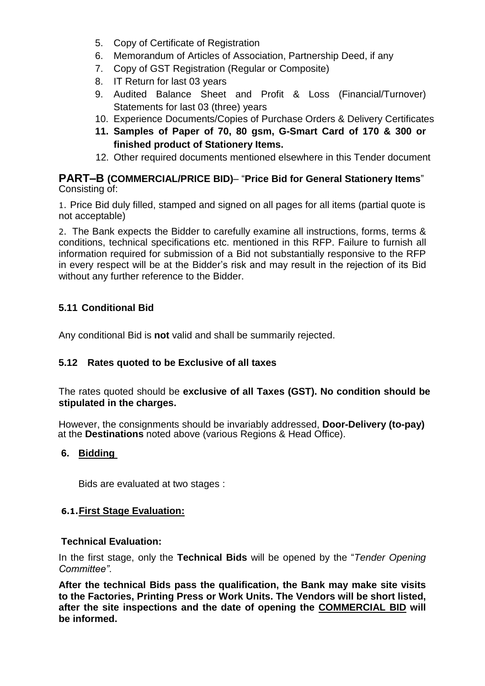- 5. Copy of Certificate of Registration
- 6. Memorandum of Articles of Association, Partnership Deed, if any
- 7. Copy of GST Registration (Regular or Composite)
- 8. IT Return for last 03 years
- 9. Audited Balance Sheet and Profit & Loss (Financial/Turnover) Statements for last 03 (three) years
- 10. Experience Documents/Copies of Purchase Orders & Delivery Certificates
- **11. Samples of Paper of 70, 80 gsm, G-Smart Card of 170 & 300 or finished product of Stationery Items.**
- 12. Other required documents mentioned elsewhere in this Tender document

## **PART–B (COMMERCIAL/PRICE BID)**– "**Price Bid for General Stationery Items**" Consisting of:

1. Price Bid duly filled, stamped and signed on all pages for all items (partial quote is not acceptable)

2. The Bank expects the Bidder to carefully examine all instructions, forms, terms & conditions, technical specifications etc. mentioned in this RFP. Failure to furnish all information required for submission of a Bid not substantially responsive to the RFP in every respect will be at the Bidder's risk and may result in the rejection of its Bid without any further reference to the Bidder.

## **5.11 Conditional Bid**

Any conditional Bid is **not** valid and shall be summarily rejected.

## **5.12 Rates quoted to be Exclusive of all taxes**

The rates quoted should be **exclusive of all Taxes (GST). No condition should be stipulated in the charges.**

However, the consignments should be invariably addressed, **Door-Delivery (to-pay)** at the **Destinations** noted above (various Regions & Head Office).

## **6. Bidding**

Bids are evaluated at two stages :

## **6.1.First Stage Evaluation:**

#### **Technical Evaluation:**

In the first stage, only the **Technical Bids** will be opened by the "*Tender Opening Committee"*.

**After the technical Bids pass the qualification, the Bank may make site visits to the Factories, Printing Press or Work Units. The Vendors will be short listed, after the site inspections and the date of opening the COMMERCIAL BID will be informed.**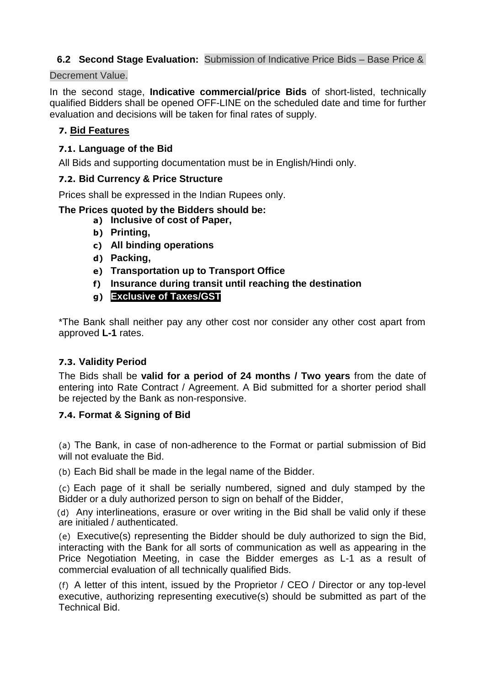## **6.2 Second Stage Evaluation:** Submission of Indicative Price Bids – Base Price &

#### Decrement Value.

In the second stage, **Indicative commercial/price Bids** of short-listed, technically qualified Bidders shall be opened OFF-LINE on the scheduled date and time for further evaluation and decisions will be taken for final rates of supply.

## **7. Bid Features**

## **7.1. Language of the Bid**

All Bids and supporting documentation must be in English/Hindi only.

#### **7.2. Bid Currency & Price Structure**

Prices shall be expressed in the Indian Rupees only.

#### **The Prices quoted by the Bidders should be:**

- **a) Inclusive of cost of Paper,**
- **b) Printing,**
- **c) All binding operations**
- **d) Packing,**
- **e) Transportation up to Transport Office**
- **f) Insurance during transit until reaching the destination**
- **g) Exclusive of Taxes/GST**

\*The Bank shall neither pay any other cost nor consider any other cost apart from approved **L-1** rates.

## **7.3. Validity Period**

The Bids shall be **valid for a period of 24 months / Two years** from the date of entering into Rate Contract / Agreement. A Bid submitted for a shorter period shall be rejected by the Bank as non-responsive.

## **7.4. Format & Signing of Bid**

(a) The Bank, in case of non-adherence to the Format or partial submission of Bid will not evaluate the Bid.

(b) Each Bid shall be made in the legal name of the Bidder.

(c) Each page of it shall be serially numbered, signed and duly stamped by the Bidder or a duly authorized person to sign on behalf of the Bidder,

(d) Any interlineations, erasure or over writing in the Bid shall be valid only if these are initialed / authenticated.

(e) Executive(s) representing the Bidder should be duly authorized to sign the Bid, interacting with the Bank for all sorts of communication as well as appearing in the Price Negotiation Meeting, in case the Bidder emerges as L-1 as a result of commercial evaluation of all technically qualified Bids.

(f) A letter of this intent, issued by the Proprietor / CEO / Director or any top-level executive, authorizing representing executive(s) should be submitted as part of the Technical Bid.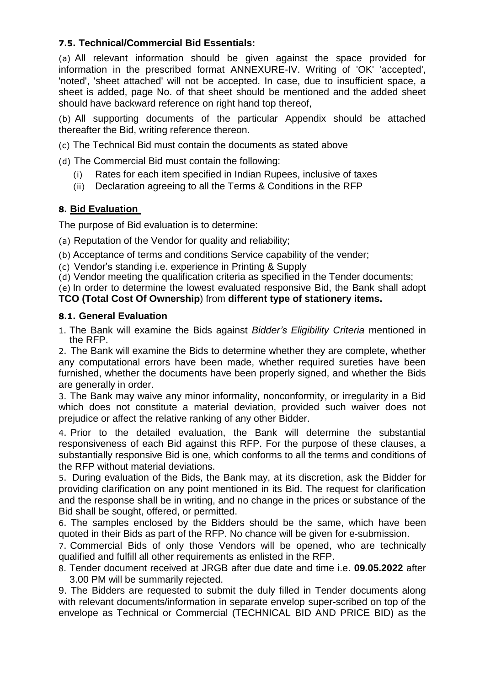## **7.5. Technical/Commercial Bid Essentials:**

(a) All relevant information should be given against the space provided for information in the prescribed format ANNEXURE-IV. Writing of 'OK' 'accepted', 'noted', 'sheet attached' will not be accepted. In case, due to insufficient space, a sheet is added, page No. of that sheet should be mentioned and the added sheet should have backward reference on right hand top thereof,

(b) All supporting documents of the particular Appendix should be attached thereafter the Bid, writing reference thereon.

(c) The Technical Bid must contain the documents as stated above

(d) The Commercial Bid must contain the following:

- (i) Rates for each item specified in Indian Rupees, inclusive of taxes
- (ii) Declaration agreeing to all the Terms & Conditions in the RFP

## **8. Bid Evaluation**

The purpose of Bid evaluation is to determine:

(a) Reputation of the Vendor for quality and reliability;

- (b) Acceptance of terms and conditions Service capability of the vender;
- (c) Vendor's standing i.e. experience in Printing & Supply

(d) Vendor meeting the qualification criteria as specified in the Tender documents;

(e) In order to determine the lowest evaluated responsive Bid, the Bank shall adopt **TCO (Total Cost Of Ownership**) from **different type of stationery items.**

## **8.1. General Evaluation**

1. The Bank will examine the Bids against *Bidder's Eligibility Criteria* mentioned in the RFP.

2. The Bank will examine the Bids to determine whether they are complete, whether any computational errors have been made, whether required sureties have been furnished, whether the documents have been properly signed, and whether the Bids are generally in order.

3. The Bank may waive any minor informality, nonconformity, or irregularity in a Bid which does not constitute a material deviation, provided such waiver does not prejudice or affect the relative ranking of any other Bidder.

4. Prior to the detailed evaluation, the Bank will determine the substantial responsiveness of each Bid against this RFP. For the purpose of these clauses, a substantially responsive Bid is one, which conforms to all the terms and conditions of the RFP without material deviations.

5. During evaluation of the Bids, the Bank may, at its discretion, ask the Bidder for providing clarification on any point mentioned in its Bid. The request for clarification and the response shall be in writing, and no change in the prices or substance of the Bid shall be sought, offered, or permitted.

6. The samples enclosed by the Bidders should be the same, which have been quoted in their Bids as part of the RFP. No chance will be given for e-submission.

7. Commercial Bids of only those Vendors will be opened, who are technically qualified and fulfill all other requirements as enlisted in the RFP.

8. Tender document received at JRGB after due date and time i.e. **09.05.2022** after 3.00 PM will be summarily rejected.

9. The Bidders are requested to submit the duly filled in Tender documents along with relevant documents/information in separate envelop super-scribed on top of the envelope as Technical or Commercial (TECHNICAL BID AND PRICE BID) as the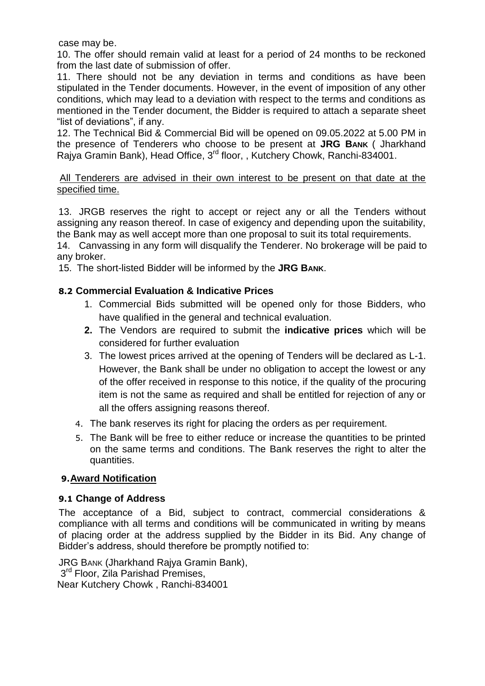case may be.

10. The offer should remain valid at least for a period of 24 months to be reckoned from the last date of submission of offer.

11. There should not be any deviation in terms and conditions as have been stipulated in the Tender documents. However, in the event of imposition of any other conditions, which may lead to a deviation with respect to the terms and conditions as mentioned in the Tender document, the Bidder is required to attach a separate sheet "list of deviations", if any.

12. The Technical Bid & Commercial Bid will be opened on 09.05.2022 at 5.00 PM in the presence of Tenderers who choose to be present at **JRG BANK** ( Jharkhand Rajya Gramin Bank), Head Office, 3rd floor, , Kutchery Chowk, Ranchi-834001.

#### All Tenderers are advised in their own interest to be present on that date at the specified time.

13. JRGB reserves the right to accept or reject any or all the Tenders without assigning any reason thereof. In case of exigency and depending upon the suitability, the Bank may as well accept more than one proposal to suit its total requirements.

14. Canvassing in any form will disqualify the Tenderer. No brokerage will be paid to any broker.

15. The short-listed Bidder will be informed by the **JRG BANK**.

## **8.2 Commercial Evaluation & Indicative Prices**

- 1. Commercial Bids submitted will be opened only for those Bidders, who have qualified in the general and technical evaluation.
- **2.** The Vendors are required to submit the **indicative prices** which will be considered for further evaluation
- 3. The lowest prices arrived at the opening of Tenders will be declared as L-1. However, the Bank shall be under no obligation to accept the lowest or any of the offer received in response to this notice, if the quality of the procuring item is not the same as required and shall be entitled for rejection of any or all the offers assigning reasons thereof.
- 4. The bank reserves its right for placing the orders as per requirement.
- 5. The Bank will be free to either reduce or increase the quantities to be printed on the same terms and conditions. The Bank reserves the right to alter the quantities.

## **9.Award Notification**

#### **9.1 Change of Address**

The acceptance of a Bid, subject to contract, commercial considerations & compliance with all terms and conditions will be communicated in writing by means of placing order at the address supplied by the Bidder in its Bid. Any change of Bidder's address, should therefore be promptly notified to:

JRG BANK (Jharkhand Rajya Gramin Bank), 3<sup>rd</sup> Floor, Zila Parishad Premises,

Near Kutchery Chowk , Ranchi-834001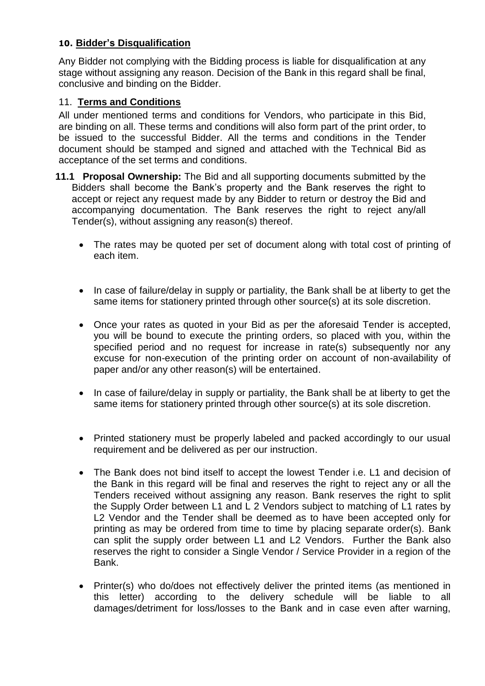#### **10. Bidder's Disqualification**

Any Bidder not complying with the Bidding process is liable for disqualification at any stage without assigning any reason. Decision of the Bank in this regard shall be final, conclusive and binding on the Bidder.

### 11. **Terms and Conditions**

All under mentioned terms and conditions for Vendors, who participate in this Bid, are binding on all. These terms and conditions will also form part of the print order, to be issued to the successful Bidder. All the terms and conditions in the Tender document should be stamped and signed and attached with the Technical Bid as acceptance of the set terms and conditions.

- **11.1 Proposal Ownership:** The Bid and all supporting documents submitted by the Bidders shall become the Bank's property and the Bank reserves the right to accept or reject any request made by any Bidder to return or destroy the Bid and accompanying documentation. The Bank reserves the right to reject any/all Tender(s), without assigning any reason(s) thereof.
	- The rates may be quoted per set of document along with total cost of printing of each item.
	- In case of failure/delay in supply or partiality, the Bank shall be at liberty to get the same items for stationery printed through other source(s) at its sole discretion.
	- Once your rates as quoted in your Bid as per the aforesaid Tender is accepted, you will be bound to execute the printing orders, so placed with you, within the specified period and no request for increase in rate(s) subsequently nor any excuse for non-execution of the printing order on account of non-availability of paper and/or any other reason(s) will be entertained.
	- In case of failure/delay in supply or partiality, the Bank shall be at liberty to get the same items for stationery printed through other source(s) at its sole discretion.
	- Printed stationery must be properly labeled and packed accordingly to our usual requirement and be delivered as per our instruction.
	- The Bank does not bind itself to accept the lowest Tender i.e. L1 and decision of the Bank in this regard will be final and reserves the right to reject any or all the Tenders received without assigning any reason. Bank reserves the right to split the Supply Order between L1 and L 2 Vendors subject to matching of L1 rates by L2 Vendor and the Tender shall be deemed as to have been accepted only for printing as may be ordered from time to time by placing separate order(s). Bank can split the supply order between L1 and L2 Vendors. Further the Bank also reserves the right to consider a Single Vendor / Service Provider in a region of the Bank.
	- Printer(s) who do/does not effectively deliver the printed items (as mentioned in this letter) according to the delivery schedule will be liable to all damages/detriment for loss/losses to the Bank and in case even after warning,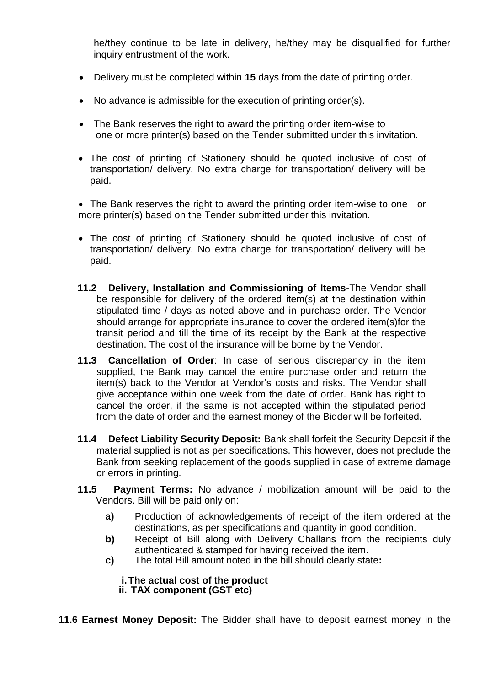he/they continue to be late in delivery, he/they may be disqualified for further inquiry entrustment of the work.

- Delivery must be completed within **15** days from the date of printing order.
- No advance is admissible for the execution of printing order(s).
- The Bank reserves the right to award the printing order item-wise to one or more printer(s) based on the Tender submitted under this invitation.
- The cost of printing of Stationery should be quoted inclusive of cost of transportation/ delivery. No extra charge for transportation/ delivery will be paid.

• The Bank reserves the right to award the printing order item-wise to one or more printer(s) based on the Tender submitted under this invitation.

- The cost of printing of Stationery should be quoted inclusive of cost of transportation/ delivery. No extra charge for transportation/ delivery will be paid.
- **11.2 Delivery, Installation and Commissioning of Items-**The Vendor shall be responsible for delivery of the ordered item(s) at the destination within stipulated time / days as noted above and in purchase order. The Vendor should arrange for appropriate insurance to cover the ordered item(s)for the transit period and till the time of its receipt by the Bank at the respective destination. The cost of the insurance will be borne by the Vendor.
- **11.3 Cancellation of Order**: In case of serious discrepancy in the item supplied, the Bank may cancel the entire purchase order and return the item(s) back to the Vendor at Vendor's costs and risks. The Vendor shall give acceptance within one week from the date of order. Bank has right to cancel the order, if the same is not accepted within the stipulated period from the date of order and the earnest money of the Bidder will be forfeited.
- **11.4 Defect Liability Security Deposit:** Bank shall forfeit the Security Deposit if the material supplied is not as per specifications. This however, does not preclude the Bank from seeking replacement of the goods supplied in case of extreme damage or errors in printing.
- **11.5 Payment Terms:** No advance / mobilization amount will be paid to the Vendors. Bill will be paid only on:
	- **a)** Production of acknowledgements of receipt of the item ordered at the destinations, as per specifications and quantity in good condition.
	- **b)** Receipt of Bill along with Delivery Challans from the recipients duly authenticated & stamped for having received the item.
	- **c)** The total Bill amount noted in the bill should clearly state**:**

## **i.The actual cost of the product**

**ii. TAX component (GST etc)**

**11.6 Earnest Money Deposit:** The Bidder shall have to deposit earnest money in the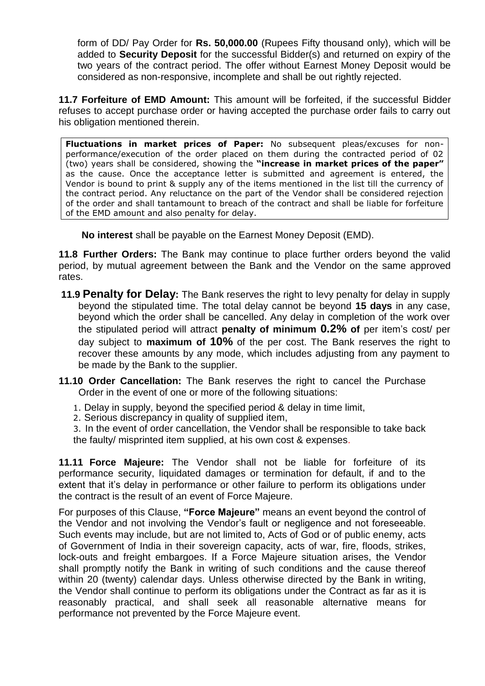form of DD/ Pay Order for **Rs. 50,000.00** (Rupees Fifty thousand only), which will be added to **Security Deposit** for the successful Bidder(s) and returned on expiry of the two years of the contract period. The offer without Earnest Money Deposit would be considered as non-responsive, incomplete and shall be out rightly rejected.

**11.7 Forfeiture of EMD Amount:** This amount will be forfeited, if the successful Bidder refuses to accept purchase order or having accepted the purchase order fails to carry out his obligation mentioned therein.

**Fluctuations in market prices of Paper:** No subsequent pleas/excuses for nonperformance/execution of the order placed on them during the contracted period of 02 (two) years shall be considered, showing the **"increase in market prices of the paper"**  as the cause. Once the acceptance letter is submitted and agreement is entered, the Vendor is bound to print & supply any of the items mentioned in the list till the currency of the contract period. Any reluctance on the part of the Vendor shall be considered rejection of the order and shall tantamount to breach of the contract and shall be liable for forfeiture of the EMD amount and also penalty for delay.

**No interest** shall be payable on the Earnest Money Deposit (EMD).

**11.8 Further Orders:** The Bank may continue to place further orders beyond the valid period, by mutual agreement between the Bank and the Vendor on the same approved rates.

- **11.9 Penalty for Delay:** The Bank reserves the right to levy penalty for delay in supply beyond the stipulated time. The total delay cannot be beyond **15 days** in any case, beyond which the order shall be cancelled. Any delay in completion of the work over the stipulated period will attract **penalty of minimum 0.2% of** per item's cost/ per day subject to **maximum of 10%** of the per cost. The Bank reserves the right to recover these amounts by any mode, which includes adjusting from any payment to be made by the Bank to the supplier.
- **11.10 Order Cancellation:** The Bank reserves the right to cancel the Purchase Order in the event of one or more of the following situations:
	- 1. Delay in supply, beyond the specified period & delay in time limit,
	- 2. Serious discrepancy in quality of supplied item,

3. In the event of order cancellation, the Vendor shall be responsible to take back the faulty/ misprinted item supplied, at his own cost & expenses.

**11.11 Force Majeure:** The Vendor shall not be liable for forfeiture of its performance security, liquidated damages or termination for default, if and to the extent that it's delay in performance or other failure to perform its obligations under the contract is the result of an event of Force Majeure.

For purposes of this Clause, **"Force Majeure"** means an event beyond the control of the Vendor and not involving the Vendor's fault or negligence and not foreseeable. Such events may include, but are not limited to, Acts of God or of public enemy, acts of Government of India in their sovereign capacity, acts of war, fire, floods, strikes, lock-outs and freight embargoes. If a Force Majeure situation arises, the Vendor shall promptly notify the Bank in writing of such conditions and the cause thereof within 20 (twenty) calendar days. Unless otherwise directed by the Bank in writing, the Vendor shall continue to perform its obligations under the Contract as far as it is reasonably practical, and shall seek all reasonable alternative means for performance not prevented by the Force Majeure event.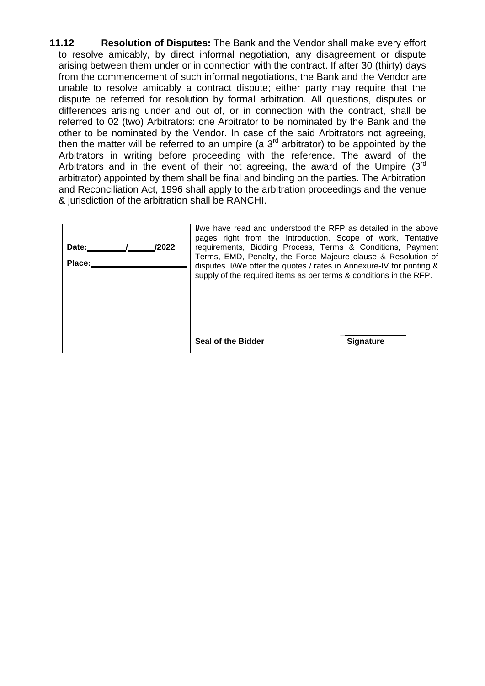**11.12 Resolution of Disputes:** The Bank and the Vendor shall make every effort to resolve amicably, by direct informal negotiation, any disagreement or dispute arising between them under or in connection with the contract. If after 30 (thirty) days from the commencement of such informal negotiations, the Bank and the Vendor are unable to resolve amicably a contract dispute; either party may require that the dispute be referred for resolution by formal arbitration. All questions, disputes or differences arising under and out of, or in connection with the contract, shall be referred to 02 (two) Arbitrators: one Arbitrator to be nominated by the Bank and the other to be nominated by the Vendor. In case of the said Arbitrators not agreeing, then the matter will be referred to an umpire (a  $3<sup>rd</sup>$  arbitrator) to be appointed by the Arbitrators in writing before proceeding with the reference. The award of the Arbitrators and in the event of their not agreeing, the award of the Umpire  $(3<sup>rd</sup>$ arbitrator) appointed by them shall be final and binding on the parties. The Arbitration and Reconciliation Act, 1996 shall apply to the arbitration proceedings and the venue & jurisdiction of the arbitration shall be RANCHI.

| /2022<br>Date:<br>Place: | I/we have read and understood the RFP as detailed in the above<br>pages right from the Introduction, Scope of work, Tentative<br>requirements, Bidding Process, Terms & Conditions, Payment<br>Terms, EMD, Penalty, the Force Majeure clause & Resolution of<br>disputes. I/We offer the quotes / rates in Annexure-IV for printing &<br>supply of the required items as per terms & conditions in the RFP. |                  |
|--------------------------|-------------------------------------------------------------------------------------------------------------------------------------------------------------------------------------------------------------------------------------------------------------------------------------------------------------------------------------------------------------------------------------------------------------|------------------|
|                          | Seal of the Bidder                                                                                                                                                                                                                                                                                                                                                                                          | <b>Signature</b> |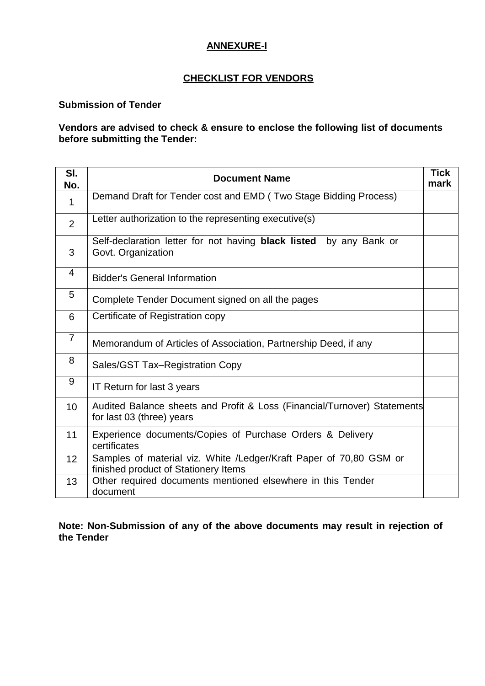## **ANNEXURE-I**

## **CHECKLIST FOR VENDORS**

#### **Submission of Tender**

#### **Vendors are advised to check & ensure to enclose the following list of documents before submitting the Tender:**

| SI.<br>No.     | <b>Document Name</b>                                                                                       | <b>Tick</b><br>mark |
|----------------|------------------------------------------------------------------------------------------------------------|---------------------|
| $\mathbf 1$    | Demand Draft for Tender cost and EMD (Two Stage Bidding Process)                                           |                     |
| $\overline{2}$ | Letter authorization to the representing executive(s)                                                      |                     |
| 3              | Self-declaration letter for not having black listed<br>by any Bank or<br>Govt. Organization                |                     |
| 4              | <b>Bidder's General Information</b>                                                                        |                     |
| 5              | Complete Tender Document signed on all the pages                                                           |                     |
| 6              | Certificate of Registration copy                                                                           |                     |
| $\overline{7}$ | Memorandum of Articles of Association, Partnership Deed, if any                                            |                     |
| 8              | Sales/GST Tax-Registration Copy                                                                            |                     |
| 9              | IT Return for last 3 years                                                                                 |                     |
| 10             | Audited Balance sheets and Profit & Loss (Financial/Turnover) Statements<br>for last 03 (three) years      |                     |
| 11             | Experience documents/Copies of Purchase Orders & Delivery<br>certificates                                  |                     |
| 12             | Samples of material viz. White /Ledger/Kraft Paper of 70,80 GSM or<br>finished product of Stationery Items |                     |
| 13             | Other required documents mentioned elsewhere in this Tender<br>document                                    |                     |

**Note: Non-Submission of any of the above documents may result in rejection of the Tender**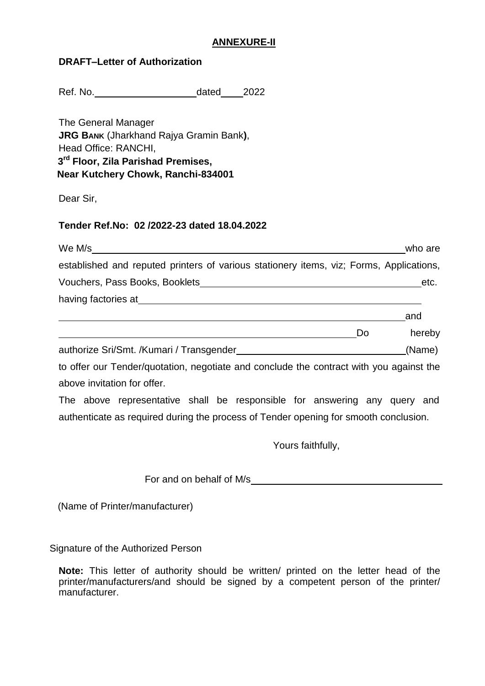#### **ANNEXURE-II**

Ref. No. 68 and 2022

The General Manager **JRG BANK** (Jharkhand Rajya Gramin Bank**)**, Head Office: RANCHI,  **3 rd Floor, Zila Parishad Premises, Near Kutchery Chowk, Ranchi-834001**

Dear Sir,

#### **Tender Ref.No: 02 /2022-23 dated 18.04.2022**

| We M/s                                                                                                         |    | who are |
|----------------------------------------------------------------------------------------------------------------|----|---------|
| established and reputed printers of various stationery items, viz; Forms, Applications,                        |    |         |
| Vouchers, Pass Books, Booklets                                                                                 |    | etc.    |
| having factories at the state of the state of the state of the state of the state of the state of the state of |    |         |
|                                                                                                                |    | and     |
|                                                                                                                | Do | hereby  |
|                                                                                                                |    |         |

authorize Sri/Smt. /Kumari / Transgender (Name)

to offer our Tender/quotation, negotiate and conclude the contract with you against the above invitation for offer.

The above representative shall be responsible for answering any query and authenticate as required during the process of Tender opening for smooth conclusion.

Yours faithfully,

For and on behalf of M/s

(Name of Printer/manufacturer)

Signature of the Authorized Person

**Note:** This letter of authority should be written/ printed on the letter head of the printer/manufacturers/and should be signed by a competent person of the printer/ manufacturer.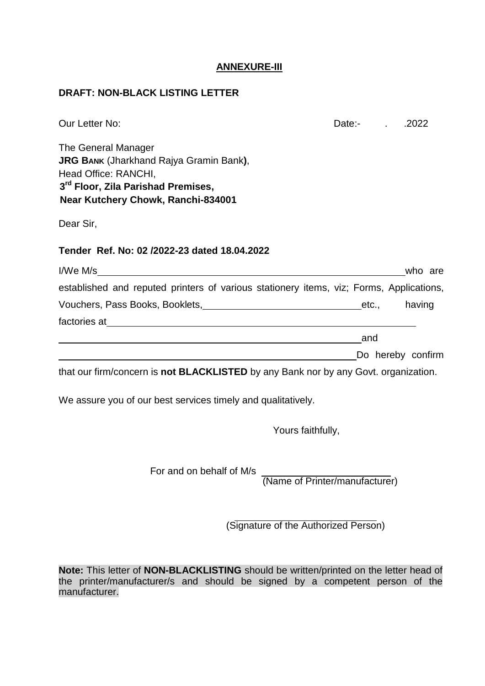#### **ANNEXURE-III**

#### **DRAFT: NON-BLACK LISTING LETTER**

| Our Letter No:                                                                          | Date:- . | .2022             |
|-----------------------------------------------------------------------------------------|----------|-------------------|
| The General Manager                                                                     |          |                   |
| <b>JRG BANK (Jharkhand Rajya Gramin Bank),</b>                                          |          |                   |
| Head Office: RANCHI,<br>3rd Floor, Zila Parishad Premises,                              |          |                   |
| Near Kutchery Chowk, Ranchi-834001                                                      |          |                   |
|                                                                                         |          |                   |
| Dear Sir,                                                                               |          |                   |
| Tender Ref. No: 02/2022-23 dated 18.04.2022                                             |          |                   |
|                                                                                         |          | who are           |
| established and reputed printers of various stationery items, viz; Forms, Applications, |          |                   |
| Vouchers, Pass Books, Booklets, Manuel Allen and Allen Letc., Analying                  |          |                   |
|                                                                                         |          |                   |
|                                                                                         | and      |                   |
|                                                                                         |          | Do hereby confirm |
| that our firm/concern is not BLACKLISTED by any Bank nor by any Govt. organization.     |          |                   |
| We assure you of our best services timely and qualitatively.                            |          |                   |
| Yours faithfully,                                                                       |          |                   |

For and on behalf of M/s

(Name of Printer/manufacturer)

(Signature of the Authorized Person)

**Note:** This letter of **NON-BLACKLISTING** should be written/printed on the letter head of the printer/manufacturer/s and should be signed by a competent person of the manufacturer.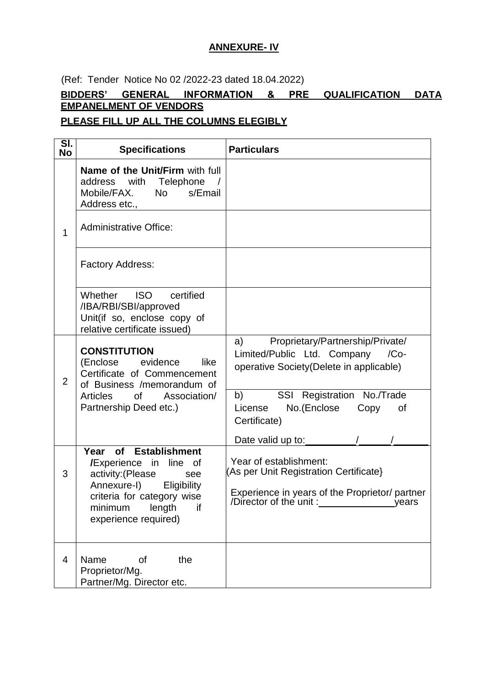## **ANNEXURE- IV**

(Ref: Tender Notice No 02 /2022-23 dated 18.04.2022)

## **BIDDERS' GENERAL INFORMATION & PRE QUALIFICATION DATA EMPANELMENT OF VENDORS**

## **PLEASE FILL UP ALL THE COLUMNS ELEGIBLY**

| SI.<br><b>No</b> | <b>Specifications</b>                                                                                                                                               | <b>Particulars</b>                                                                                                                                                               |
|------------------|---------------------------------------------------------------------------------------------------------------------------------------------------------------------|----------------------------------------------------------------------------------------------------------------------------------------------------------------------------------|
|                  | <b>Name of the Unit/Firm with full</b><br>address with Telephone /<br>Mobile/FAX. No s/Email<br>Address etc.,                                                       |                                                                                                                                                                                  |
| 1                | <b>Administrative Office:</b>                                                                                                                                       |                                                                                                                                                                                  |
|                  | Factory Address:                                                                                                                                                    |                                                                                                                                                                                  |
|                  | <b>ISO</b><br>certified<br>Whether<br>/IBA/RBI/SBI/approved<br>Unit(if so, enclose copy of<br>relative certificate issued)                                          |                                                                                                                                                                                  |
| $\overline{2}$   | <b>CONSTITUTION</b><br>like<br>(Enclose evidence<br>Certificate of Commencement<br>of Business /memorandum of<br>Articles of Association/<br>Partnership Deed etc.) | Proprietary/Partnership/Private/<br>a)<br>Limited/Public Ltd. Company<br>$/Co-$<br>operative Society(Delete in applicable)                                                       |
|                  |                                                                                                                                                                     | SSI Registration No./Trade<br>b)<br>License<br>No.(Enclose<br>Copy<br>οf<br>Certificate)                                                                                         |
|                  | Year of Establishment                                                                                                                                               | Date valid up to:                                                                                                                                                                |
| 3                | <b>/Experience</b> in line of<br>activity: (Please<br>see<br>Annexure-I)<br>Eligibility<br>criteria for category wise                                               | Year of establishment:<br>(As per Unit Registration Certificate)<br>Experience in years of the Proprietor/ partner<br>/Director of the unit:<br><u>the contract of the vears</u> |
|                  | length<br>if<br>minimum<br>experience required)                                                                                                                     |                                                                                                                                                                                  |
| $\overline{4}$   | Name<br>the<br>οf<br>Proprietor/Mg.<br>Partner/Mg. Director etc.                                                                                                    |                                                                                                                                                                                  |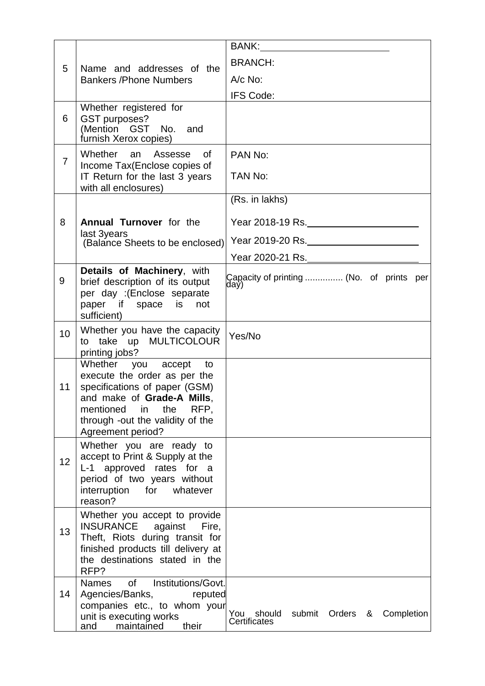|                |                                                                                                                                                                                                                 | BANK: Experience of the second service of the service of the series of the series of the series of the series of the series of the series of the series of the series of the series of the series of the series of the series |
|----------------|-----------------------------------------------------------------------------------------------------------------------------------------------------------------------------------------------------------------|-------------------------------------------------------------------------------------------------------------------------------------------------------------------------------------------------------------------------------|
| 5              | Name and addresses of the                                                                                                                                                                                       | <b>BRANCH:</b>                                                                                                                                                                                                                |
|                | <b>Bankers / Phone Numbers</b>                                                                                                                                                                                  | $A/c$ No:                                                                                                                                                                                                                     |
|                |                                                                                                                                                                                                                 | IFS Code:                                                                                                                                                                                                                     |
| 6              | Whether registered for<br>GST purposes?<br>(Mention GST No. and<br>furnish Xerox copies)                                                                                                                        |                                                                                                                                                                                                                               |
| $\overline{7}$ | Whether an<br>Assesse<br>of<br>Income Tax(Enclose copies of<br>IT Return for the last 3 years                                                                                                                   | PAN No:<br>TAN No:                                                                                                                                                                                                            |
|                | with all enclosures)                                                                                                                                                                                            |                                                                                                                                                                                                                               |
|                |                                                                                                                                                                                                                 | (Rs. in lakhs)                                                                                                                                                                                                                |
| 8              | <b>Annual Turnover</b> for the                                                                                                                                                                                  | Year 2018-19 Rs.                                                                                                                                                                                                              |
|                | last 3years<br>(Balance Sheets to be enclosed)                                                                                                                                                                  | Year 2019-20 Rs.                                                                                                                                                                                                              |
|                |                                                                                                                                                                                                                 | Year 2020-21 Rs.                                                                                                                                                                                                              |
| 9              | Details of Machinery, with<br>brief description of its output<br>per day :(Enclose separate<br>paper if space is<br>not<br>sufficient)                                                                          | Capacity of printing  (No. of prints per<br>day)                                                                                                                                                                              |
| 10             | Whether you have the capacity<br>to take up MULTICOLOUR<br>printing jobs?                                                                                                                                       | Yes/No                                                                                                                                                                                                                        |
| 11             | Whether you accept to<br>execute the order as per the<br>specifications of paper (GSM)<br>and make of Grade-A Mills,<br>RFP,<br>mentioned<br>the<br>in<br>through -out the validity of the<br>Agreement period? |                                                                                                                                                                                                                               |
| 12             | Whether you are ready to<br>accept to Print & Supply at the<br>L-1 approved rates for a<br>period of two years without<br>for<br>interruption<br>whatever<br>reason?                                            |                                                                                                                                                                                                                               |
| 13             | Whether you accept to provide<br><b>INSURANCE</b><br>against Fire,<br>Theft, Riots during transit for<br>finished products till delivery at<br>the destinations stated in the<br>RFP?                           |                                                                                                                                                                                                                               |
| 14             | Institutions/Govt.<br>0f<br><b>Names</b><br>Agencies/Banks,<br>reputed<br>companies etc., to whom your<br>unit is executing works<br>their<br>maintained<br>and                                                 | You<br>should<br>submit Orders &<br>Completion<br>Certificates                                                                                                                                                                |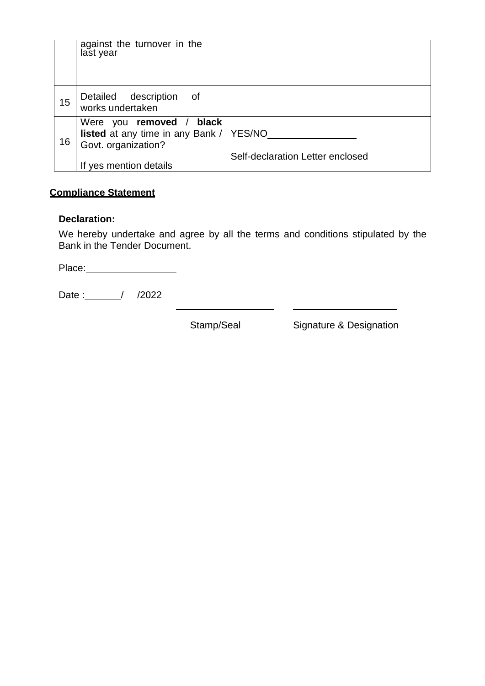|    | against the turnover in the<br>last year                                                     |                                  |
|----|----------------------------------------------------------------------------------------------|----------------------------------|
| 15 | Detailed description of<br>works undertaken                                                  |                                  |
| 16 | Were you removed / black<br>listed at any time in any Bank /   YES/NO<br>Govt. organization? |                                  |
|    | If yes mention details                                                                       | Self-declaration Letter enclosed |

## **Compliance Statement**

#### **Declaration:**

We hereby undertake and agree by all the terms and conditions stipulated by the Bank in the Tender Document.

Place:

Date :\_\_\_\_\_\_/ /2022

Stamp/Seal Signature & Designation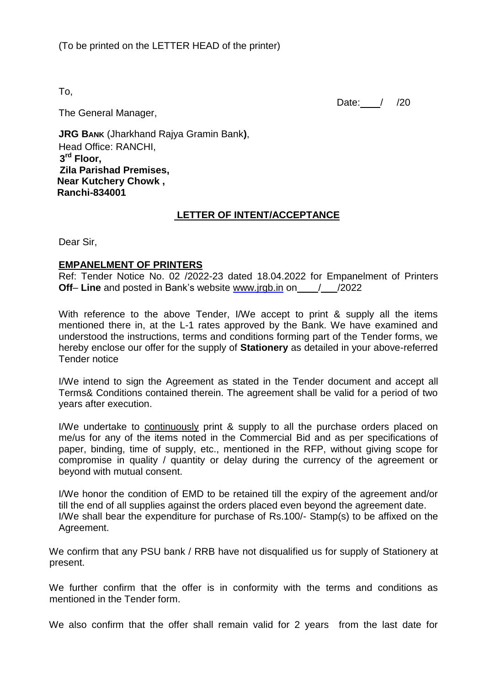To,

Date: / /20

The General Manager,

**JRG BANK** (Jharkhand Rajya Gramin Bank**)**, Head Office: RANCHI,  **3 rd Floor, Zila Parishad Premises, Near Kutchery Chowk , Ranchi-834001**

## **LETTER OF INTENT/ACCEPTANCE**

Dear Sir,

#### **EMPANELMENT OF PRINTERS**

Ref: Tender Notice No. 02 /2022-23 dated 18.04.2022 for Empanelment of Printers **Off- Line** and posted in Bank's website www.jrgb.in on  $\frac{1}{2022}$ 

With reference to the above Tender, I/We accept to print & supply all the items mentioned there in, at the L-1 rates approved by the Bank. We have examined and understood the instructions, terms and conditions forming part of the Tender forms, we hereby enclose our offer for the supply of **Stationery** as detailed in your above-referred Tender notice

I/We intend to sign the Agreement as stated in the Tender document and accept all Terms& Conditions contained therein. The agreement shall be valid for a period of two years after execution.

I/We undertake to continuously print & supply to all the purchase orders placed on me/us for any of the items noted in the Commercial Bid and as per specifications of paper, binding, time of supply, etc., mentioned in the RFP, without giving scope for compromise in quality / quantity or delay during the currency of the agreement or beyond with mutual consent.

I/We honor the condition of EMD to be retained till the expiry of the agreement and/or till the end of all supplies against the orders placed even beyond the agreement date. I/We shall bear the expenditure for purchase of Rs.100/- Stamp(s) to be affixed on the Agreement.

We confirm that any PSU bank / RRB have not disqualified us for supply of Stationery at present.

We further confirm that the offer is in conformity with the terms and conditions as mentioned in the Tender form.

We also confirm that the offer shall remain valid for 2 years from the last date for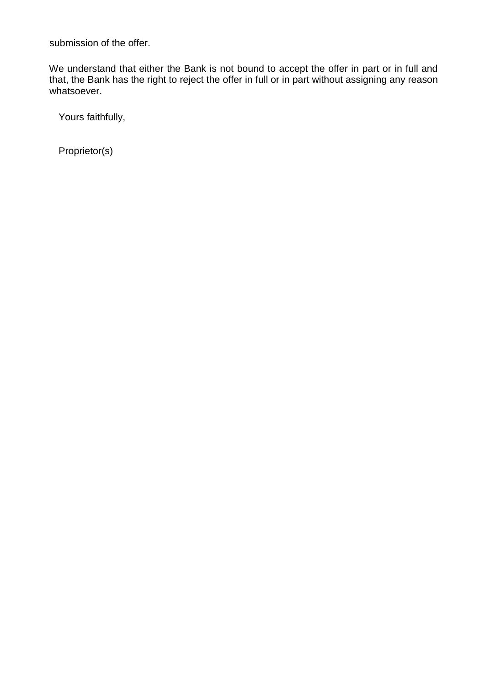submission of the offer.

We understand that either the Bank is not bound to accept the offer in part or in full and that, the Bank has the right to reject the offer in full or in part without assigning any reason whatsoever.

Yours faithfully,

Proprietor(s)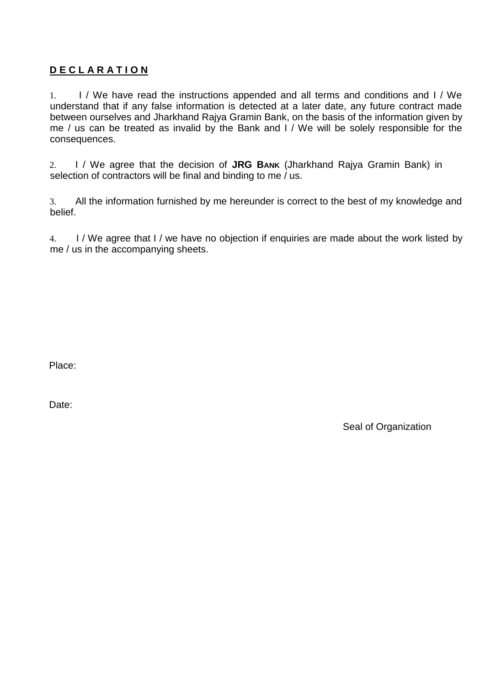## **D E C L A R A T I O N**

1. I / We have read the instructions appended and all terms and conditions and I / We understand that if any false information is detected at a later date, any future contract made between ourselves and Jharkhand Rajya Gramin Bank, on the basis of the information given by me / us can be treated as invalid by the Bank and I / We will be solely responsible for the consequences.

2. I / We agree that the decision of **JRG BANK** (Jharkhand Rajya Gramin Bank) in selection of contractors will be final and binding to me / us.

3. All the information furnished by me hereunder is correct to the best of my knowledge and belief.

4. I / We agree that I / we have no objection if enquiries are made about the work listed by me / us in the accompanying sheets.

Place: Signature of the state of the state of the state of the state of the state of the state of the state of the state of the state of the state of the state of the state of the state of the state of the state of the sta

Date: Name & Designation of the Designation of the Designation of the Designation of the Designation of the Designation of the Designation of the Designation of the Designation of the Designation of the Designation of the

Seal of Organization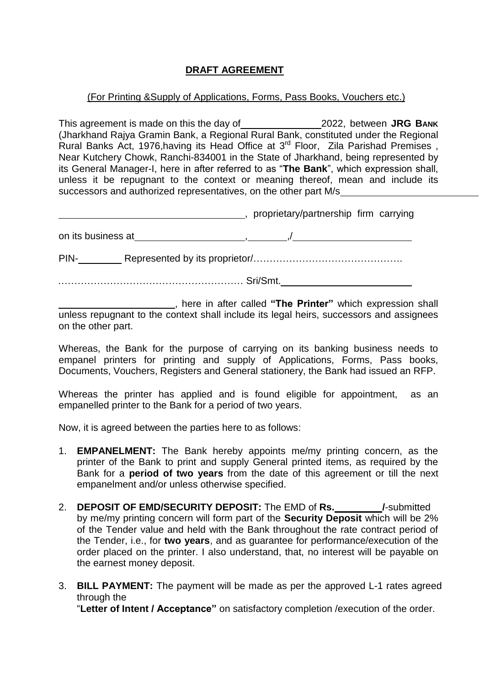## **DRAFT AGREEMENT**

#### (For Printing &Supply of Applications, Forms, Pass Books, Vouchers etc.)

This agreement is made on this the day of 2022, between **JRG BANK** (Jharkhand Rajya Gramin Bank, a Regional Rural Bank, constituted under the Regional Rural Banks Act, 1976, having its Head Office at 3<sup>rd</sup> Floor, Zila Parishad Premises, Near Kutchery Chowk, Ranchi-834001 in the State of Jharkhand, being represented by its General Manager-I, here in after referred to as "**The Bank**", which expression shall, unless it be repugnant to the context or meaning thereof, mean and include its successors and authorized representatives, on the other part M/s

|                    | proprietary/partnership firm carrying |  |  |  |
|--------------------|---------------------------------------|--|--|--|
| on its business at |                                       |  |  |  |
| PIN-               |                                       |  |  |  |
| Sri/Smt.           |                                       |  |  |  |

, here in after called **"The Printer"** which expression shall unless repugnant to the context shall include its legal heirs, successors and assignees on the other part.

Whereas, the Bank for the purpose of carrying on its banking business needs to empanel printers for printing and supply of Applications, Forms, Pass books, Documents, Vouchers, Registers and General stationery, the Bank had issued an RFP.

Whereas the printer has applied and is found eligible for appointment, as an empanelled printer to the Bank for a period of two years.

Now, it is agreed between the parties here to as follows:

- 1. **EMPANELMENT:** The Bank hereby appoints me/my printing concern, as the printer of the Bank to print and supply General printed items, as required by the Bank for a **period of two years** from the date of this agreement or till the next empanelment and/or unless otherwise specified.
- 2. **DEPOSIT OF EMD/SECURITY DEPOSIT:** The EMD of **Rs. /**-submitted by me/my printing concern will form part of the **Security Deposit** which will be 2% of the Tender value and held with the Bank throughout the rate contract period of the Tender, i.e., for **two years**, and as guarantee for performance/execution of the order placed on the printer. I also understand, that, no interest will be payable on the earnest money deposit.
- 3. **BILL PAYMENT:** The payment will be made as per the approved L-1 rates agreed through the

"**Letter of Intent / Acceptance"** on satisfactory completion /execution of the order.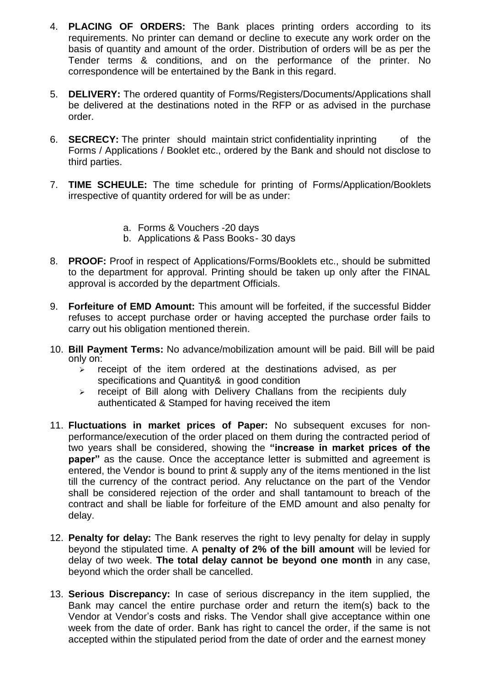- 4. **PLACING OF ORDERS:** The Bank places printing orders according to its requirements. No printer can demand or decline to execute any work order on the basis of quantity and amount of the order. Distribution of orders will be as per the Tender terms & conditions, and on the performance of the printer. No correspondence will be entertained by the Bank in this regard.
- 5. **DELIVERY:** The ordered quantity of Forms/Registers/Documents/Applications shall be delivered at the destinations noted in the RFP or as advised in the purchase order.
- 6. **SECRECY:** The printer should maintain strict confidentiality inprinting of the Forms / Applications / Booklet etc., ordered by the Bank and should not disclose to third parties.
- 7. **TIME SCHEULE:** The time schedule for printing of Forms/Application/Booklets irrespective of quantity ordered for will be as under:
	- a. Forms & Vouchers -20 days
	- b. Applications & Pass Books- 30 days
- 8. **PROOF:** Proof in respect of Applications/Forms/Booklets etc., should be submitted to the department for approval. Printing should be taken up only after the FINAL approval is accorded by the department Officials.
- 9. **Forfeiture of EMD Amount:** This amount will be forfeited, if the successful Bidder refuses to accept purchase order or having accepted the purchase order fails to carry out his obligation mentioned therein.
- 10. **Bill Payment Terms:** No advance/mobilization amount will be paid. Bill will be paid only on:
	- $\triangleright$  receipt of the item ordered at the destinations advised, as per specifications and Quantity& in good condition
	- $\triangleright$  receipt of Bill along with Delivery Challans from the recipients duly authenticated & Stamped for having received the item
- 11. **Fluctuations in market prices of Paper:** No subsequent excuses for nonperformance/execution of the order placed on them during the contracted period of two years shall be considered, showing the **"increase in market prices of the paper"** as the cause. Once the acceptance letter is submitted and agreement is entered, the Vendor is bound to print & supply any of the items mentioned in the list till the currency of the contract period. Any reluctance on the part of the Vendor shall be considered rejection of the order and shall tantamount to breach of the contract and shall be liable for forfeiture of the EMD amount and also penalty for delay.
- 12. **Penalty for delay:** The Bank reserves the right to levy penalty for delay in supply beyond the stipulated time. A **penalty of 2% of the bill amount** will be levied for delay of two week. **The total delay cannot be beyond one month** in any case, beyond which the order shall be cancelled.
- 13. **Serious Discrepancy:** In case of serious discrepancy in the item supplied, the Bank may cancel the entire purchase order and return the item(s) back to the Vendor at Vendor's costs and risks. The Vendor shall give acceptance within one week from the date of order. Bank has right to cancel the order, if the same is not accepted within the stipulated period from the date of order and the earnest money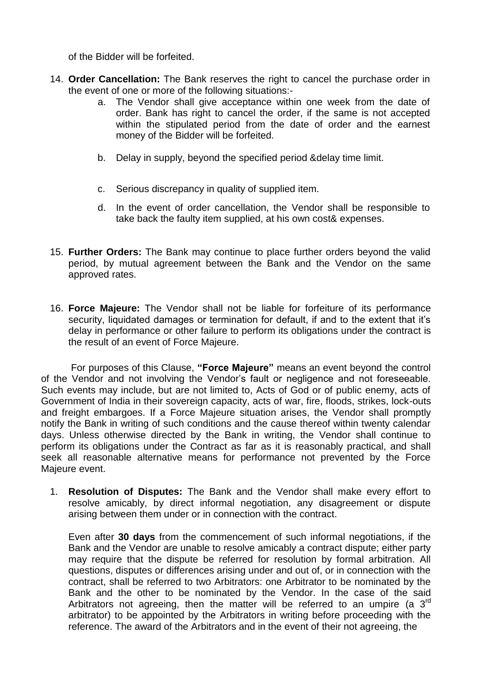of the Bidder will be forfeited.

- 14. **Order Cancellation:** The Bank reserves the right to cancel the purchase order in the event of one or more of the following situations:
	- a. The Vendor shall give acceptance within one week from the date of order. Bank has right to cancel the order, if the same is not accepted within the stipulated period from the date of order and the earnest money of the Bidder will be forfeited.
	- b. Delay in supply, beyond the specified period &delay time limit.
	- c. Serious discrepancy in quality of supplied item.
	- d. In the event of order cancellation, the Vendor shall be responsible to take back the faulty item supplied, at his own cost& expenses.
- 15. **Further Orders:** The Bank may continue to place further orders beyond the valid period, by mutual agreement between the Bank and the Vendor on the same approved rates.
- 16. **Force Majeure:** The Vendor shall not be liable for forfeiture of its performance security, liquidated damages or termination for default, if and to the extent that it's delay in performance or other failure to perform its obligations under the contract is the result of an event of Force Majeure.

 For purposes of this Clause, **"Force Majeure"** means an event beyond the control of the Vendor and not involving the Vendor's fault or negligence and not foreseeable. Such events may include, but are not limited to, Acts of God or of public enemy, acts of Government of India in their sovereign capacity, acts of war, fire, floods, strikes, lock-outs and freight embargoes. If a Force Majeure situation arises, the Vendor shall promptly notify the Bank in writing of such conditions and the cause thereof within twenty calendar days. Unless otherwise directed by the Bank in writing, the Vendor shall continue to perform its obligations under the Contract as far as it is reasonably practical, and shall seek all reasonable alternative means for performance not prevented by the Force Majeure event.

1. **Resolution of Disputes:** The Bank and the Vendor shall make every effort to resolve amicably, by direct informal negotiation, any disagreement or dispute arising between them under or in connection with the contract.

Even after **30 days** from the commencement of such informal negotiations, if the Bank and the Vendor are unable to resolve amicably a contract dispute; either party may require that the dispute be referred for resolution by formal arbitration. All questions, disputes or differences arising under and out of, or in connection with the contract, shall be referred to two Arbitrators: one Arbitrator to be nominated by the Bank and the other to be nominated by the Vendor. In the case of the said Arbitrators not agreeing, then the matter will be referred to an umpire (a  $3<sup>rd</sup>$ arbitrator) to be appointed by the Arbitrators in writing before proceeding with the reference. The award of the Arbitrators and in the event of their not agreeing, the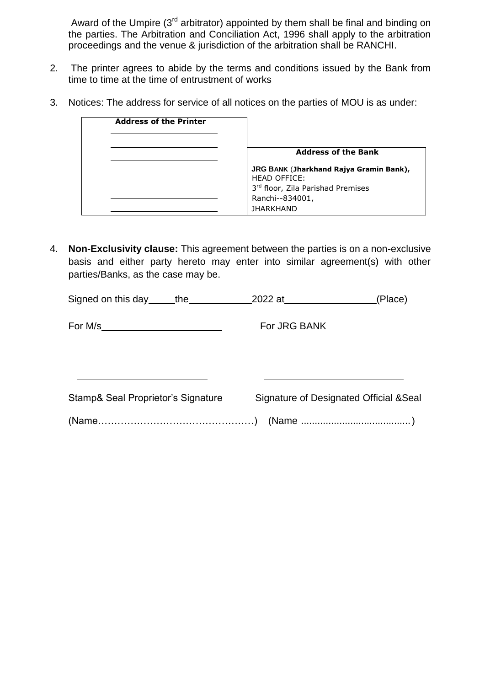Award of the Umpire (3<sup>rd</sup> arbitrator) appointed by them shall be final and binding on the parties. The Arbitration and Conciliation Act, 1996 shall apply to the arbitration proceedings and the venue & jurisdiction of the arbitration shall be RANCHI.

- 2. The printer agrees to abide by the terms and conditions issued by the Bank from time to time at the time of entrustment of works
- 3. Notices: The address for service of all notices on the parties of MOU is as under:

| <b>Address of the Printer</b> |                                                                |
|-------------------------------|----------------------------------------------------------------|
|                               |                                                                |
|                               | <b>Address of the Bank</b>                                     |
|                               | JRG BANK (Jharkhand Rajya Gramin Bank),<br><b>HEAD OFFICE:</b> |
|                               | 3rd floor, Zila Parishad Premises                              |
|                               | Ranchi--834001,                                                |
|                               | <b>IHARKHAND</b>                                               |

4. **Non-Exclusivity clause:** This agreement between the parties is on a non-exclusive basis and either party hereto may enter into similar agreement(s) with other parties/Banks, as the case may be.

| Signed on this day ______the        |                                         | (Place) |
|-------------------------------------|-----------------------------------------|---------|
| For M/s____________________________ | For JRG BANK                            |         |
| Stamp& Seal Proprietor's Signature  | Signature of Designated Official & Seal |         |
|                                     |                                         |         |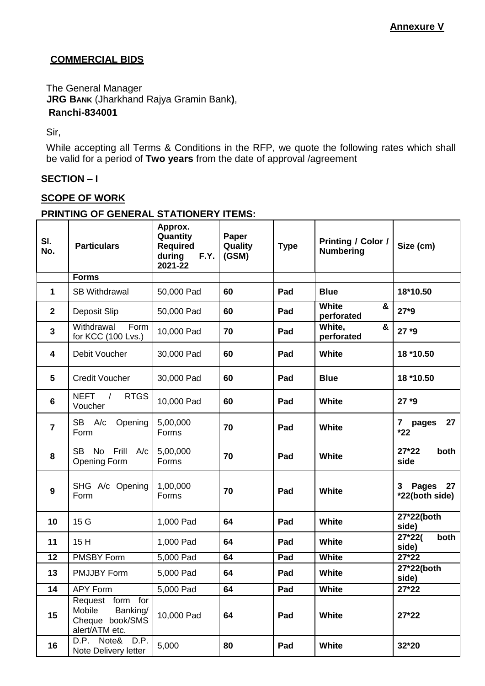## **COMMERCIAL BIDS**

The General Manager **JRG BANK** (Jharkhand Rajya Gramin Bank**)**,  **Ranchi-834001**

Sir,

While accepting all Terms & Conditions in the RFP, we quote the following rates which shall be valid for a period of **Two years** from the date of approval /agreement

## **SECTION – I**

## **SCOPE OF WORK**

#### **PRINTING OF GENERAL STATIONERY ITEMS:**

| SI.<br>No.     | <b>Particulars</b>                                                          | Approx.<br>Quantity<br><b>Required</b><br>during<br>F.Y.<br>2021-22 | Paper<br>Quality<br>(GSM) | <b>Type</b> | Printing / Color /<br><b>Numbering</b> | Size (cm)                                 |
|----------------|-----------------------------------------------------------------------------|---------------------------------------------------------------------|---------------------------|-------------|----------------------------------------|-------------------------------------------|
|                | <b>Forms</b>                                                                |                                                                     |                           |             |                                        |                                           |
| $\mathbf{1}$   | <b>SB Withdrawal</b>                                                        | 50,000 Pad                                                          | 60                        | Pad         | <b>Blue</b>                            | 18*10.50                                  |
| $\mathbf 2$    | Deposit Slip                                                                | 50,000 Pad                                                          | 60                        | Pad         | <b>White</b><br>&<br>perforated        | $27*9$                                    |
| 3              | Withdrawal<br>Form<br>for KCC (100 Lvs.)                                    | 10,000 Pad                                                          | 70                        | Pad         | White,<br>&<br>perforated              | $27*9$                                    |
| 4              | Debit Voucher                                                               | 30,000 Pad                                                          | 60                        | Pad         | <b>White</b>                           | 18 *10.50                                 |
| 5              | <b>Credit Voucher</b>                                                       | 30,000 Pad                                                          | 60                        | Pad         | <b>Blue</b>                            | 18 *10.50                                 |
| 6              | <b>NEFT</b><br><b>RTGS</b><br>$\sqrt{ }$<br>Voucher                         | 10,000 Pad                                                          | 60                        | Pad         | <b>White</b>                           | $27*9$                                    |
| $\overline{7}$ | SB A/c<br>Opening<br>Form                                                   | 5,00,000<br>Forms                                                   | 70                        | Pad         | <b>White</b>                           | 27<br>$\mathbf{7}$<br>pages<br>$*22$      |
| 8              | SB No<br>Frill<br>A/c<br>Opening Form                                       | 5,00,000<br>Forms                                                   | 70                        | Pad         | <b>White</b>                           | $27*22$<br>both<br>side                   |
| 9              | SHG A/c Opening<br>Form                                                     | 1,00,000<br>Forms                                                   | 70                        | Pad         | <b>White</b>                           | <b>Pages</b><br>27<br>3<br>*22(both side) |
| 10             | 15 G                                                                        | 1,000 Pad                                                           | 64                        | Pad         | <b>White</b>                           | 27*22(both<br>side)                       |
| 11             | 15H                                                                         | 1,000 Pad                                                           | 64                        | Pad         | <b>White</b>                           | $27*22($<br>both<br>side)                 |
| 12             | <b>PMSBY Form</b>                                                           | 5,000 Pad                                                           | 64                        | Pad         | <b>White</b>                           | 27*22                                     |
| 13             | <b>PMJJBY Form</b>                                                          | 5,000 Pad                                                           | 64                        | Pad         | <b>White</b>                           | 27*22(both<br>side)                       |
| 14             | APY Form                                                                    | 5,000 Pad                                                           | 64                        | Pad         | <b>White</b>                           | 27*22                                     |
| 15             | Request form for<br>Banking/<br>Mobile<br>Cheque book/SMS<br>alert/ATM etc. | 10,000 Pad                                                          | 64                        | Pad         | <b>White</b>                           | $27*22$                                   |
| 16             | D.P. Note& D.P.<br>Note Delivery letter                                     | 5,000                                                               | 80                        | Pad         | <b>White</b>                           | 32*20                                     |